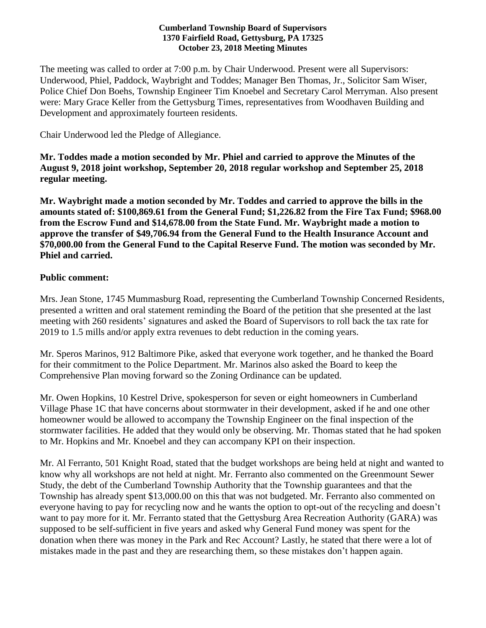#### **Cumberland Township Board of Supervisors 1370 Fairfield Road, Gettysburg, PA 17325 October 23, 2018 Meeting Minutes**

The meeting was called to order at 7:00 p.m. by Chair Underwood. Present were all Supervisors: Underwood, Phiel, Paddock, Waybright and Toddes; Manager Ben Thomas, Jr., Solicitor Sam Wiser, Police Chief Don Boehs, Township Engineer Tim Knoebel and Secretary Carol Merryman. Also present were: Mary Grace Keller from the Gettysburg Times, representatives from Woodhaven Building and Development and approximately fourteen residents.

Chair Underwood led the Pledge of Allegiance.

**Mr. Toddes made a motion seconded by Mr. Phiel and carried to approve the Minutes of the August 9, 2018 joint workshop, September 20, 2018 regular workshop and September 25, 2018 regular meeting.**

**Mr. Waybright made a motion seconded by Mr. Toddes and carried to approve the bills in the amounts stated of: \$100,869.61 from the General Fund; \$1,226.82 from the Fire Tax Fund; \$968.00 from the Escrow Fund and \$14,678.00 from the State Fund. Mr. Waybright made a motion to approve the transfer of \$49,706.94 from the General Fund to the Health Insurance Account and \$70,000.00 from the General Fund to the Capital Reserve Fund. The motion was seconded by Mr. Phiel and carried.**

### **Public comment:**

Mrs. Jean Stone, 1745 Mummasburg Road, representing the Cumberland Township Concerned Residents, presented a written and oral statement reminding the Board of the petition that she presented at the last meeting with 260 residents' signatures and asked the Board of Supervisors to roll back the tax rate for 2019 to 1.5 mills and/or apply extra revenues to debt reduction in the coming years.

Mr. Speros Marinos, 912 Baltimore Pike, asked that everyone work together, and he thanked the Board for their commitment to the Police Department. Mr. Marinos also asked the Board to keep the Comprehensive Plan moving forward so the Zoning Ordinance can be updated.

Mr. Owen Hopkins, 10 Kestrel Drive, spokesperson for seven or eight homeowners in Cumberland Village Phase 1C that have concerns about stormwater in their development, asked if he and one other homeowner would be allowed to accompany the Township Engineer on the final inspection of the stormwater facilities. He added that they would only be observing. Mr. Thomas stated that he had spoken to Mr. Hopkins and Mr. Knoebel and they can accompany KPI on their inspection.

Mr. Al Ferranto, 501 Knight Road, stated that the budget workshops are being held at night and wanted to know why all workshops are not held at night. Mr. Ferranto also commented on the Greenmount Sewer Study, the debt of the Cumberland Township Authority that the Township guarantees and that the Township has already spent \$13,000.00 on this that was not budgeted. Mr. Ferranto also commented on everyone having to pay for recycling now and he wants the option to opt-out of the recycling and doesn't want to pay more for it. Mr. Ferranto stated that the Gettysburg Area Recreation Authority (GARA) was supposed to be self-sufficient in five years and asked why General Fund money was spent for the donation when there was money in the Park and Rec Account? Lastly, he stated that there were a lot of mistakes made in the past and they are researching them, so these mistakes don't happen again.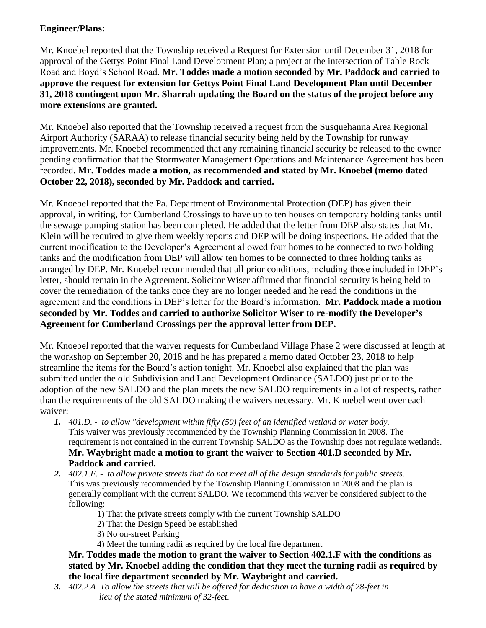## **Engineer/Plans:**

Mr. Knoebel reported that the Township received a Request for Extension until December 31, 2018 for approval of the Gettys Point Final Land Development Plan; a project at the intersection of Table Rock Road and Boyd's School Road. **Mr. Toddes made a motion seconded by Mr. Paddock and carried to approve the request for extension for Gettys Point Final Land Development Plan until December 31, 2018 contingent upon Mr. Sharrah updating the Board on the status of the project before any more extensions are granted.**

Mr. Knoebel also reported that the Township received a request from the Susquehanna Area Regional Airport Authority (SARAA) to release financial security being held by the Township for runway improvements. Mr. Knoebel recommended that any remaining financial security be released to the owner pending confirmation that the Stormwater Management Operations and Maintenance Agreement has been recorded. **Mr. Toddes made a motion, as recommended and stated by Mr. Knoebel (memo dated October 22, 2018), seconded by Mr. Paddock and carried.** 

Mr. Knoebel reported that the Pa. Department of Environmental Protection (DEP) has given their approval, in writing, for Cumberland Crossings to have up to ten houses on temporary holding tanks until the sewage pumping station has been completed. He added that the letter from DEP also states that Mr. Klein will be required to give them weekly reports and DEP will be doing inspections. He added that the current modification to the Developer's Agreement allowed four homes to be connected to two holding tanks and the modification from DEP will allow ten homes to be connected to three holding tanks as arranged by DEP. Mr. Knoebel recommended that all prior conditions, including those included in DEP's letter, should remain in the Agreement. Solicitor Wiser affirmed that financial security is being held to cover the remediation of the tanks once they are no longer needed and he read the conditions in the agreement and the conditions in DEP's letter for the Board's information. **Mr. Paddock made a motion seconded by Mr. Toddes and carried to authorize Solicitor Wiser to re-modify the Developer's Agreement for Cumberland Crossings per the approval letter from DEP.** 

Mr. Knoebel reported that the waiver requests for Cumberland Village Phase 2 were discussed at length at the workshop on September 20, 2018 and he has prepared a memo dated October 23, 2018 to help streamline the items for the Board's action tonight. Mr. Knoebel also explained that the plan was submitted under the old Subdivision and Land Development Ordinance (SALDO) just prior to the adoption of the new SALDO and the plan meets the new SALDO requirements in a lot of respects, rather than the requirements of the old SALDO making the waivers necessary. Mr. Knoebel went over each waiver:

- *1. 401.D. - to allow "development within fifty (50) feet of an identified wetland or water body.* This waiver was previously recommended by the Township Planning Commission in 2008. The requirement is not contained in the current Township SALDO as the Township does not regulate wetlands. **Mr. Waybright made a motion to grant the waiver to Section 401.D seconded by Mr. Paddock and carried.**
- *2. 402.1.F. - to allow private streets that do not meet all of the design standards for public streets.* This was previously recommended by the Township Planning Commission in 2008 and the plan is generally compliant with the current SALDO. We recommend this waiver be considered subject to the following:
	- 1) That the private streets comply with the current Township SALDO
	- 2) That the Design Speed be established
	- 3) No on-street Parking
	- 4) Meet the turning radii as required by the local fire department

## **Mr. Toddes made the motion to grant the waiver to Section 402.1.F with the conditions as stated by Mr. Knoebel adding the condition that they meet the turning radii as required by the local fire department seconded by Mr. Waybright and carried.**

*3. 402.2.A To allow the streets that will be offered for dedication to have a width of 28-feet in lieu of the stated minimum of 32-feet.*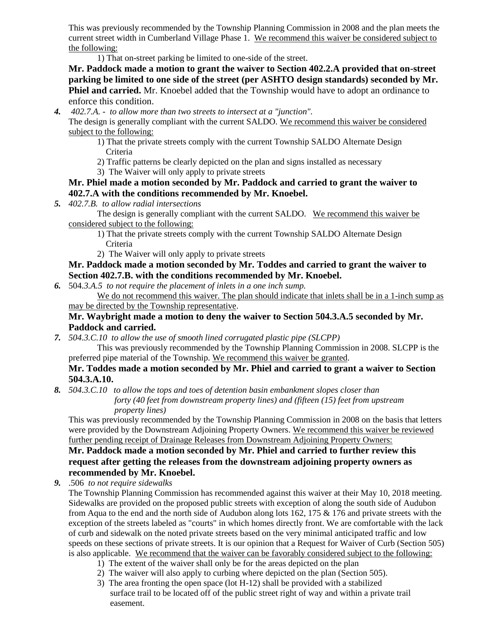This was previously recommended by the Township Planning Commission in 2008 and the plan meets the current street width in Cumberland Village Phase 1. We recommend this waiver be considered subject to the following:

1) That on-street parking be limited to one-side of the street.

**Mr. Paddock made a motion to grant the waiver to Section 402.2.A provided that on-street parking be limited to one side of the street (per ASHTO design standards) seconded by Mr. Phiel and carried.** Mr. Knoebel added that the Township would have to adopt an ordinance to enforce this condition.

*4. 402.7.A. - to allow more than two streets to intersect at a "junction".*

The design is generally compliant with the current SALDO. We recommend this waiver be considered subject to the following:

- 1) That the private streets comply with the current Township SALDO Alternate Design Criteria
- 2) Traffic patterns be clearly depicted on the plan and signs installed as necessary
- 3) The Waiver will only apply to private streets

### **Mr. Phiel made a motion seconded by Mr. Paddock and carried to grant the waiver to 402.7.A with the conditions recommended by Mr. Knoebel.**

*5. 402.7.B. to allow radial intersections*

The design is generally compliant with the current SALDO. We recommend this waiver be considered subject to the following:

1) That the private streets comply with the current Township SALDO Alternate Design Criteria

2) The Waiver will only apply to private streets

### **Mr. Paddock made a motion seconded by Mr. Toddes and carried to grant the waiver to Section 402.7.B. with the conditions recommended by Mr. Knoebel.**

*6.* 504*.3.A.5 to not require the placement of inlets in a one inch sump.*

We do not recommend this waiver. The plan should indicate that inlets shall be in a 1-inch sump as may be directed by the Township representative.

### **Mr. Waybright made a motion to deny the waiver to Section 504.3.A.5 seconded by Mr. Paddock and carried.**

*7. 504.3.C.10 to allow the use of smooth lined corrugated plastic pipe (SLCPP)*

This was previously recommended by the Township Planning Commission in 2008. SLCPP is the preferred pipe material of the Township. We recommend this waiver be granted.

### **Mr. Toddes made a motion seconded by Mr. Phiel and carried to grant a waiver to Section 504.3.A.10.**

*8. 504.3.C.10 to allow the tops and toes of detention basin embankment slopes closer than forty (40 feet from downstream property lines) and (fifteen (15) feet from upstream property lines)*

This was previously recommended by the Township Planning Commission in 2008 on the basis that letters were provided by the Downstream Adjoining Property Owners. We recommend this waiver be reviewed further pending receipt of Drainage Releases from Downstream Adjoining Property Owners:

**Mr. Paddock made a motion seconded by Mr. Phiel and carried to further review this request after getting the releases from the downstream adjoining property owners as recommended by Mr. Knoebel.**

*9.* .506 *to not require sidewalks*

The Township Planning Commission has recommended against this waiver at their May 10, 2018 meeting. Sidewalks are provided on the proposed public streets with exception of along the south side of Audubon from Aqua to the end and the north side of Audubon along lots 162, 175 & 176 and private streets with the exception of the streets labeled as "courts" in which homes directly front. We are comfortable with the lack of curb and sidewalk on the noted private streets based on the very minimal anticipated traffic and low speeds on these sections of private streets. It is our opinion that a Request for Waiver of Curb (Section 505) is also applicable. We recommend that the waiver can be favorably considered subject to the following:

- 1) The extent of the waiver shall only be for the areas depicted on the plan
- 2) The waiver will also apply to curbing where depicted on the plan (Section 505).
- 3) The area fronting the open space (lot H-12) shall be provided with a stabilized surface trail to be located off of the public street right of way and within a private trail easement.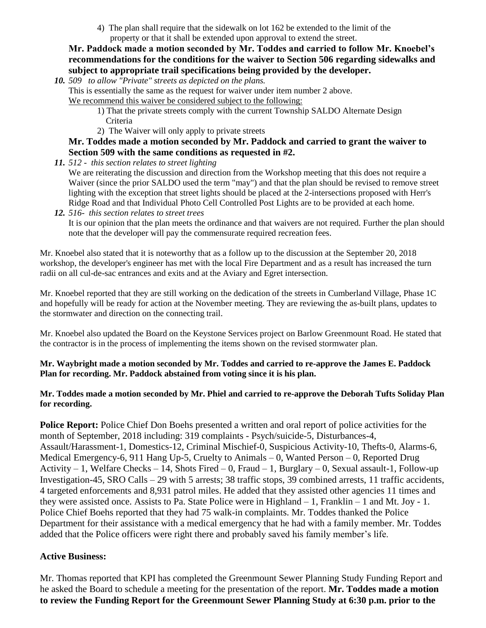4) The plan shall require that the sidewalk on lot 162 be extended to the limit of the property or that it shall be extended upon approval to extend the street.

### **Mr. Paddock made a motion seconded by Mr. Toddes and carried to follow Mr. Knoebel's recommendations for the conditions for the waiver to Section 506 regarding sidewalks and subject to appropriate trail specifications being provided by the developer.**

*10. 509 to allow "Private" streets as depicted on the plans.*

This is essentially the same as the request for waiver under item number 2 above.

- We recommend this waiver be considered subject to the following:
	- 1) That the private streets comply with the current Township SALDO Alternate Design Criteria
	- 2) The Waiver will only apply to private streets

# **Mr. Toddes made a motion seconded by Mr. Paddock and carried to grant the waiver to Section 509 with the same conditions as requested in #2.**

*11. 512 - this section relates to street lighting*

We are reiterating the discussion and direction from the Workshop meeting that this does not require a Waiver (since the prior SALDO used the term "may") and that the plan should be revised to remove street lighting with the exception that street lights should be placed at the 2-intersections proposed with Herr's Ridge Road and that Individual Photo Cell Controlled Post Lights are to be provided at each home.

#### *12. 516- this section relates to street trees* It is our opinion that the plan meets the ordinance and that waivers are not required. Further the plan should note that the developer will pay the commensurate required recreation fees.

Mr. Knoebel also stated that it is noteworthy that as a follow up to the discussion at the September 20, 2018 workshop, the developer's engineer has met with the local Fire Department and as a result has increased the turn radii on all cul-de-sac entrances and exits and at the Aviary and Egret intersection.

Mr. Knoebel reported that they are still working on the dedication of the streets in Cumberland Village, Phase 1C and hopefully will be ready for action at the November meeting. They are reviewing the as-built plans, updates to the stormwater and direction on the connecting trail.

Mr. Knoebel also updated the Board on the Keystone Services project on Barlow Greenmount Road. He stated that the contractor is in the process of implementing the items shown on the revised stormwater plan.

### **Mr. Waybright made a motion seconded by Mr. Toddes and carried to re-approve the James E. Paddock Plan for recording. Mr. Paddock abstained from voting since it is his plan.**

### **Mr. Toddes made a motion seconded by Mr. Phiel and carried to re-approve the Deborah Tufts Soliday Plan for recording.**

**Police Report:** Police Chief Don Boehs presented a written and oral report of police activities for the month of September, 2018 including: 319 complaints - Psych/suicide-5, Disturbances-4, Assault/Harassment-1, Domestics-12, Criminal Mischief-0, Suspicious Activity-10, Thefts-0, Alarms-6, Medical Emergency-6, 911 Hang Up-5, Cruelty to Animals – 0, Wanted Person – 0, Reported Drug Activity – 1, Welfare Checks – 14, Shots Fired – 0, Fraud – 1, Burglary – 0, Sexual assault-1, Follow-up Investigation-45, SRO Calls – 29 with 5 arrests; 38 traffic stops, 39 combined arrests, 11 traffic accidents, 4 targeted enforcements and 8,931 patrol miles. He added that they assisted other agencies 11 times and they were assisted once. Assists to Pa. State Police were in Highland – 1, Franklin – 1 and Mt. Joy - 1. Police Chief Boehs reported that they had 75 walk-in complaints. Mr. Toddes thanked the Police Department for their assistance with a medical emergency that he had with a family member. Mr. Toddes added that the Police officers were right there and probably saved his family member's life.

# **Active Business:**

Mr. Thomas reported that KPI has completed the Greenmount Sewer Planning Study Funding Report and he asked the Board to schedule a meeting for the presentation of the report. **Mr. Toddes made a motion to review the Funding Report for the Greenmount Sewer Planning Study at 6:30 p.m. prior to the**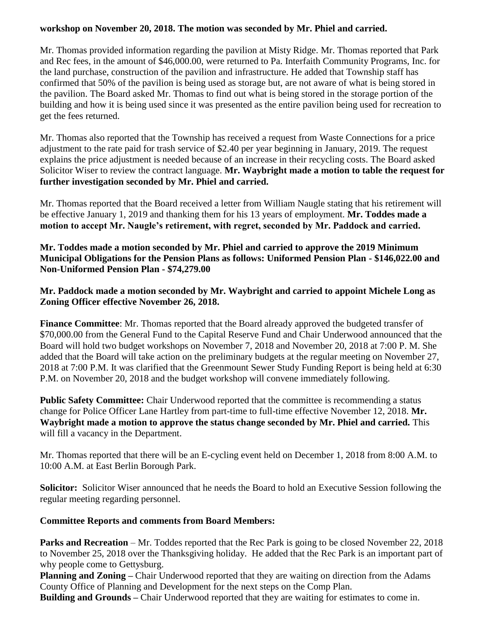## **workshop on November 20, 2018. The motion was seconded by Mr. Phiel and carried.**

Mr. Thomas provided information regarding the pavilion at Misty Ridge. Mr. Thomas reported that Park and Rec fees, in the amount of \$46,000.00, were returned to Pa. Interfaith Community Programs, Inc. for the land purchase, construction of the pavilion and infrastructure. He added that Township staff has confirmed that 50% of the pavilion is being used as storage but, are not aware of what is being stored in the pavilion. The Board asked Mr. Thomas to find out what is being stored in the storage portion of the building and how it is being used since it was presented as the entire pavilion being used for recreation to get the fees returned.

Mr. Thomas also reported that the Township has received a request from Waste Connections for a price adjustment to the rate paid for trash service of \$2.40 per year beginning in January, 2019. The request explains the price adjustment is needed because of an increase in their recycling costs. The Board asked Solicitor Wiser to review the contract language. **Mr. Waybright made a motion to table the request for further investigation seconded by Mr. Phiel and carried.** 

Mr. Thomas reported that the Board received a letter from William Naugle stating that his retirement will be effective January 1, 2019 and thanking them for his 13 years of employment. **Mr. Toddes made a motion to accept Mr. Naugle's retirement, with regret, seconded by Mr. Paddock and carried.**

**Mr. Toddes made a motion seconded by Mr. Phiel and carried to approve the 2019 Minimum Municipal Obligations for the Pension Plans as follows: Uniformed Pension Plan - \$146,022.00 and Non-Uniformed Pension Plan - \$74,279.00**

### **Mr. Paddock made a motion seconded by Mr. Waybright and carried to appoint Michele Long as Zoning Officer effective November 26, 2018.**

**Finance Committee**: Mr. Thomas reported that the Board already approved the budgeted transfer of \$70,000.00 from the General Fund to the Capital Reserve Fund and Chair Underwood announced that the Board will hold two budget workshops on November 7, 2018 and November 20, 2018 at 7:00 P. M. She added that the Board will take action on the preliminary budgets at the regular meeting on November 27, 2018 at 7:00 P.M. It was clarified that the Greenmount Sewer Study Funding Report is being held at 6:30 P.M. on November 20, 2018 and the budget workshop will convene immediately following.

Public Safety Committee: Chair Underwood reported that the committee is recommending a status change for Police Officer Lane Hartley from part-time to full-time effective November 12, 2018. **Mr. Waybright made a motion to approve the status change seconded by Mr. Phiel and carried.** This will fill a vacancy in the Department.

Mr. Thomas reported that there will be an E-cycling event held on December 1, 2018 from 8:00 A.M. to 10:00 A.M. at East Berlin Borough Park.

**Solicitor:** Solicitor Wiser announced that he needs the Board to hold an Executive Session following the regular meeting regarding personnel.

# **Committee Reports and comments from Board Members:**

**Parks and Recreation** – Mr. Toddes reported that the Rec Park is going to be closed November 22, 2018 to November 25, 2018 over the Thanksgiving holiday. He added that the Rec Park is an important part of why people come to Gettysburg.

**Planning and Zoning –** Chair Underwood reported that they are waiting on direction from the Adams County Office of Planning and Development for the next steps on the Comp Plan.

**Building and Grounds –** Chair Underwood reported that they are waiting for estimates to come in.